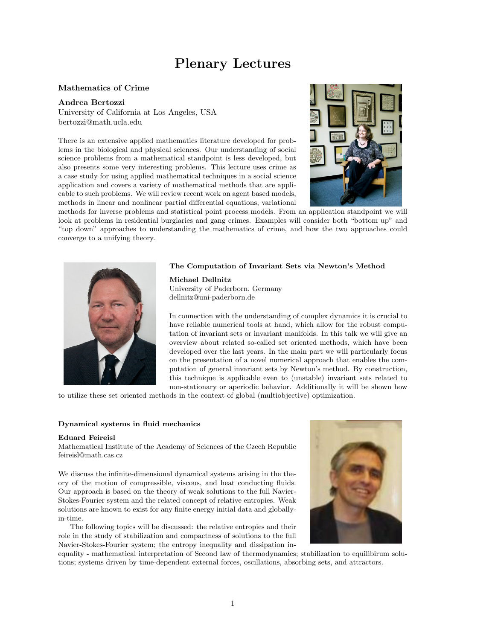# Plenary Lectures

## Mathematics of Crime

#### Andrea Bertozzi

University of California at Los Angeles, USA bertozzi@math.ucla.edu

There is an extensive applied mathematics literature developed for problems in the biological and physical sciences. Our understanding of social science problems from a mathematical standpoint is less developed, but also presents some very interesting problems. This lecture uses crime as a case study for using applied mathematical techniques in a social science application and covers a variety of mathematical methods that are applicable to such problems. We will review recent work on agent based models, methods in linear and nonlinear partial differential equations, variational



methods for inverse problems and statistical point process models. From an application standpoint we will look at problems in residential burglaries and gang crimes. Examples will consider both "bottom up" and "top down" approaches to understanding the mathematics of crime, and how the two approaches could converge to a unifying theory.

#### The Computation of Invariant Sets via Newton's Method



Michael Dellnitz University of Paderborn, Germany dellnitz@uni-paderborn.de

In connection with the understanding of complex dynamics it is crucial to have reliable numerical tools at hand, which allow for the robust computation of invariant sets or invariant manifolds. In this talk we will give an overview about related so-called set oriented methods, which have been developed over the last years. In the main part we will particularly focus on the presentation of a novel numerical approach that enables the computation of general invariant sets by Newton's method. By construction, this technique is applicable even to (unstable) invariant sets related to non-stationary or aperiodic behavior. Additionally it will be shown how

to utilize these set oriented methods in the context of global (multiobjective) optimization.

#### Dynamical systems in fluid mechanics

#### Eduard Feireisl

Mathematical Institute of the Academy of Sciences of the Czech Republic feireisl@math.cas.cz

We discuss the infinite-dimensional dynamical systems arising in the theory of the motion of compressible, viscous, and heat conducting fluids. Our approach is based on the theory of weak solutions to the full Navier-Stokes-Fourier system and the related concept of relative entropies. Weak solutions are known to exist for any finite energy initial data and globallyin-time.

The following topics will be discussed: the relative entropies and their role in the study of stabilization and compactness of solutions to the full Navier-Stokes-Fourier system; the entropy inequality and dissipation in-



equality - mathematical interpretation of Second law of thermodynamics; stabilization to equilibirum solutions; systems driven by time-dependent external forces, oscillations, absorbing sets, and attractors.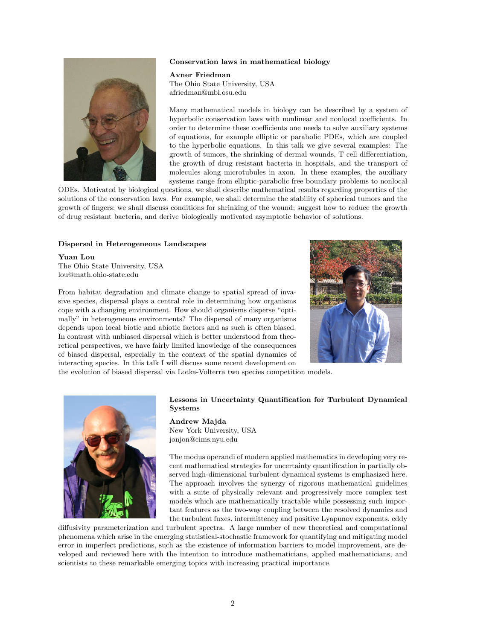### Conservation laws in mathematical biology



Avner Friedman The Ohio State University, USA afriedman@mbi.osu.edu

Many mathematical models in biology can be described by a system of hyperbolic conservation laws with nonlinear and nonlocal coefficients. In order to determine these coefficients one needs to solve auxiliary systems of equations, for example elliptic or parabolic PDEs, which are coupled to the hyperbolic equations. In this talk we give several examples: The growth of tumors, the shrinking of dermal wounds, T cell differentiation, the growth of drug resistant bacteria in hospitals, and the transport of molecules along microtubules in axon. In these examples, the auxiliary systems range from elliptic-parabolic free boundary problems to nonlocal

ODEs. Motivated by biological questions, we shall describe mathematical results regarding properties of the solutions of the conservation laws. For example, we shall determine the stability of spherical tumors and the growth of fingers; we shall discuss conditions for shrinking of the wound; suggest how to reduce the growth of drug resistant bacteria, and derive biologically motivated asymptotic behavior of solutions.

#### Dispersal in Heterogeneous Landscapes

Yuan Lou The Ohio State University, USA lou@math.ohio-state.edu



the evolution of biased dispersal via Lotka-Volterra two species competition models.

From habitat degradation and climate change to spatial spread of invasive species, dispersal plays a central role in determining how organisms cope with a changing environment. How should organisms disperse "optimally" in heterogeneous environments? The dispersal of many organisms depends upon local biotic and abiotic factors and as such is often biased. In contrast with unbiased dispersal which is better understood from theoretical perspectives, we have fairly limited knowledge of the consequences of biased dispersal, especially in the context of the spatial dynamics of interacting species. In this talk I will discuss some recent development on



Lessons in Uncertainty Quantification for Turbulent Dynamical Systems

Andrew Majda New York University, USA jonjon@cims.nyu.edu

The modus operandi of modern applied mathematics in developing very recent mathematical strategies for uncertainty quantification in partially observed high-dimensional turbulent dynamical systems is emphasized here. The approach involves the synergy of rigorous mathematical guidelines with a suite of physically relevant and progressively more complex test models which are mathematically tractable while possessing such important features as the two-way coupling between the resolved dynamics and the turbulent fuxes, intermittency and positive Lyapunov exponents, eddy

diffusivity parameterization and turbulent spectra. A large number of new theoretical and computational phenomena which arise in the emerging statistical-stochastic framework for quantifying and mitigating model error in imperfect predictions, such as the existence of information barriers to model improvement, are developed and reviewed here with the intention to introduce mathematicians, applied mathematicians, and scientists to these remarkable emerging topics with increasing practical importance.